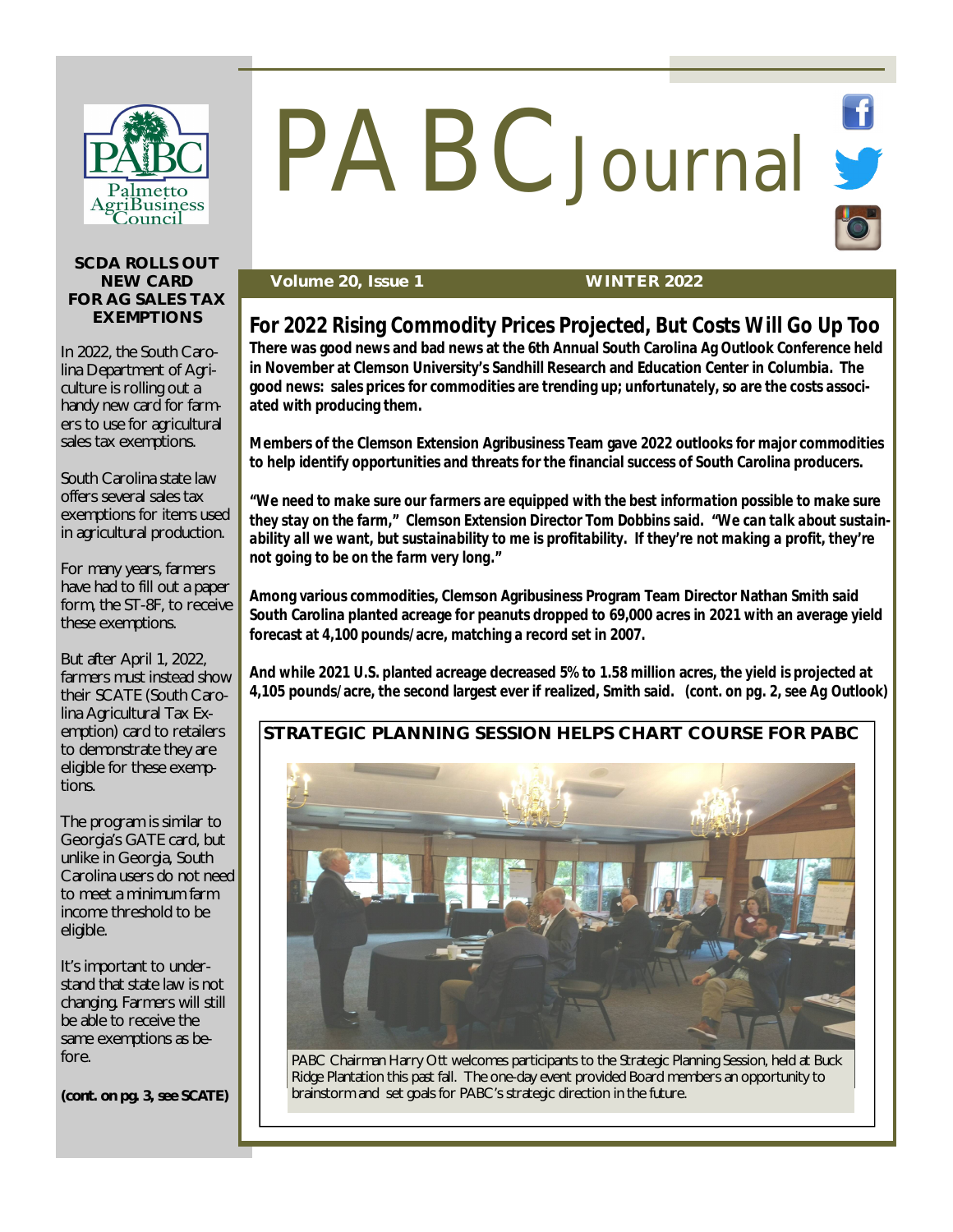

# PABC Journal St

#### **SCDA ROLLS OUT NEW CARD FOR AG SALES TAX EXEMPTIONS**

In 2022, the South Carolina Department of Agriculture is rolling out a handy new card for farmers to use for agricultural sales tax exemptions.

South Carolina state law offers several sales tax exemptions for items used in agricultural production.

For many years, farmers have had to fill out a paper form, the ST-8F, to receive these exemptions.

But after April 1, 2022, farmers must instead show their SCATE (South Carolina Agricultural Tax Exemption) card to retailers to demonstrate they are eligible for these exemptions.

The program is similar to Georgia's GATE card, but unlike in Georgia, South Carolina users do not need to meet a minimum farm income threshold to be eligible.

It's important to understand that state law is not changing. Farmers will still be able to receive the same exemptions as before.

*(cont. on pg. 3, see SCATE)*

#### **Volume 20, Issue 1 WINTER 2022**

# **For 2022 Rising Commodity Prices Projected, But Costs Will Go Up Too**

**There was good news and bad news at the 6th Annual South Carolina Ag Outlook Conference held in November at Clemson University's Sandhill Research and Education Center in Columbia. The good news: sales prices for commodities are trending up; unfortunately, so are the costs associated with producing them.**

**Members of the Clemson Extension Agribusiness Team gave 2022 outlooks for major commodities to help identify opportunities and threats for the financial success of South Carolina producers.**

*"We need to make sure our farmers are equipped with the best information possible to make sure they stay on the farm," Clemson Extension Director Tom Dobbins said. "We can talk about sustainability all we want, but sustainability to me is profitability. If they're not making a profit, they're not going to be on the farm very long."*

**Among various commodities, Clemson Agribusiness Program Team Director Nathan Smith said South Carolina planted acreage for peanuts dropped to 69,000 acres in 2021 with an average yield forecast at 4,100 pounds/acre, matching a record set in 2007.**

**And while 2021 U.S. planted acreage decreased 5% to 1.58 million acres, the yield is projected at 4,105 pounds/acre, the second largest ever if realized, Smith said.** *(cont. on pg. 2, see Ag Outlook)*

### **STRATEGIC PLANNING SESSION HELPS CHART COURSE FOR PABC**



PABC Chairman Harry Ott welcomes participants to the Strategic Planning Session, held at Buck Ridge Plantation this past fall. The one-day event provided Board members an opportunity to brainstorm and set goals for PABC's strategic direction in the future.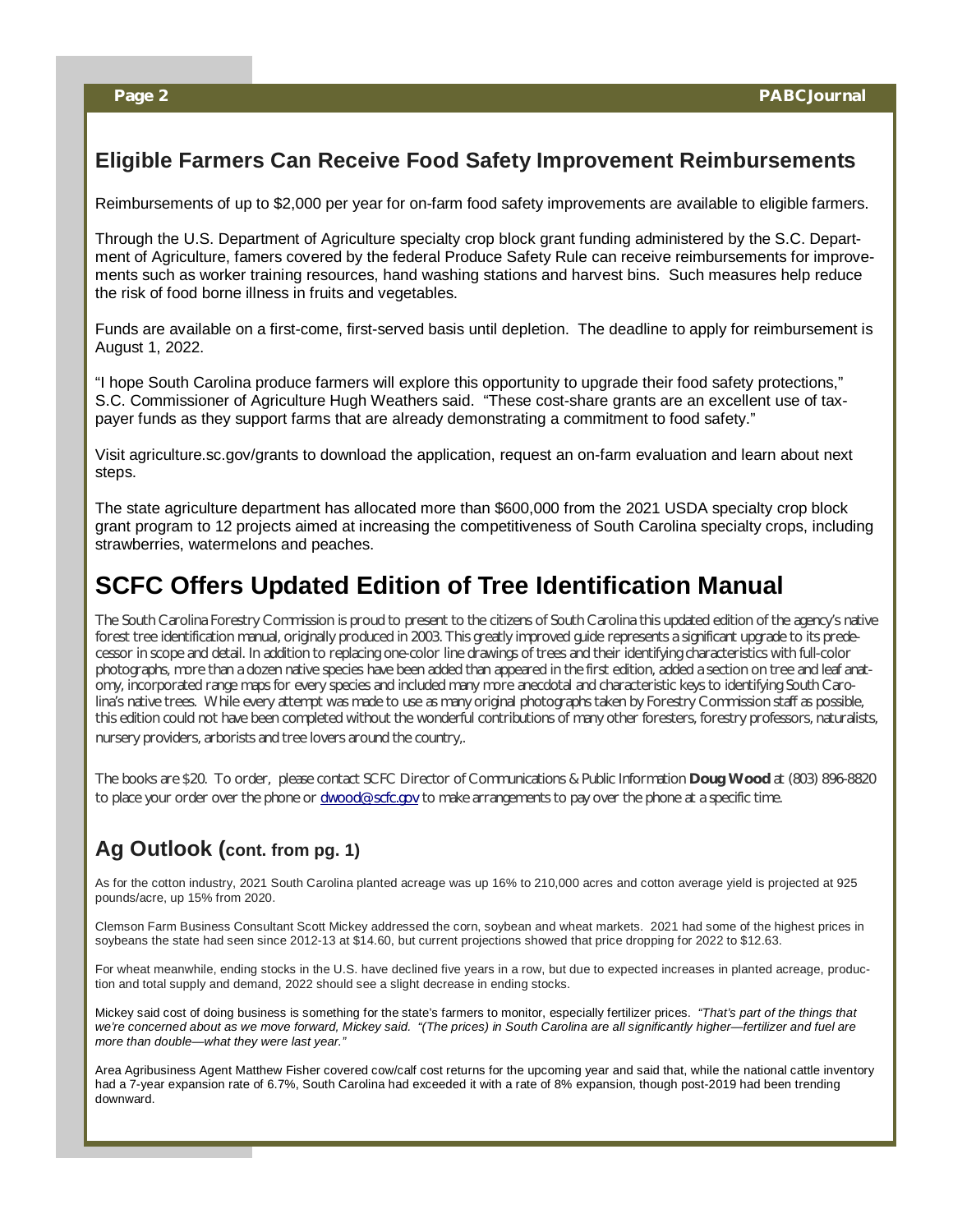## **Eligible Farmers Can Receive Food Safety Improvement Reimbursements**

Reimbursements of up to \$2,000 per year for on-farm food safety improvements are available to eligible farmers.

Through the U.S. Department of Agriculture specialty crop block grant funding administered by the S.C. Department of Agriculture, famers covered by the federal Produce Safety Rule can receive reimbursements for improvements such as worker training resources, hand washing stations and harvest bins. Such measures help reduce the risk of food borne illness in fruits and vegetables.

Funds are available on a first-come, first-served basis until depletion. The deadline to apply for reimbursement is August 1, 2022.

"I hope South Carolina produce farmers will explore this opportunity to upgrade their food safety protections," S.C. Commissioner of Agriculture Hugh Weathers said. "These cost-share grants are an excellent use of taxpayer funds as they support farms that are already demonstrating a commitment to food safety."

Visit agriculture.sc.gov/grants to download the application, request an on-farm evaluation and learn about next steps.

The state agriculture department has allocated more than \$600,000 from the 2021 USDA specialty crop block grant program to 12 projects aimed at increasing the competitiveness of South Carolina specialty crops, including strawberries, watermelons and peaches.

# **SCFC Offers Updated Edition of Tree Identification Manual**

The South Carolina Forestry Commission is proud to present to the citizens of South Carolina this updated edition of the agency's native forest tree identification manual, originally produced in 2003. This greatly improved guide represents a significant upgrade to its predecessor in scope and detail. In addition to replacing one-color line drawings of trees and their identifying characteristics with full-color photographs, more than a dozen native species have been added than appeared in the first edition, added a section on tree and leaf anatomy, incorporated range maps for every species and included many more anecdotal and characteristic keys to identifying South Carolina's native trees. While every attempt was made to use as many original photographs taken by Forestry Commission staff as possible, this edition could not have been completed without the wonderful contributions of many other foresters, forestry professors, naturalists, nursery providers, arborists and tree lovers around the country,.

The books are \$20. To order, please contact SCFC Director of Communications & Public Information **Doug Wood** at (803) 896-8820 to place your order over the phone or [dwood@scfc.gov](mailto:dwood@scfc.gov) to make arrangements to pay over the phone at a specific time.

# **Ag Outlook (cont. from pg. 1)**

As for the cotton industry, 2021 South Carolina planted acreage was up 16% to 210,000 acres and cotton average yield is projected at 925 pounds/acre, up 15% from 2020.

Clemson Farm Business Consultant Scott Mickey addressed the corn, soybean and wheat markets. 2021 had some of the highest prices in soybeans the state had seen since 2012-13 at \$14.60, but current projections showed that price dropping for 2022 to \$12.63.

For wheat meanwhile, ending stocks in the U.S. have declined five years in a row, but due to expected increases in planted acreage, production and total supply and demand, 2022 should see a slight decrease in ending stocks.

Mickey said cost of doing business is something for the state's farmers to monitor, especially fertilizer prices. *"That's part of the things that*  we're concerned about as we move forward, Mickey said. "(The prices) in South Carolina are all significantly higher—fertilizer and fuel are *more than double—what they were last year."*

Area Agribusiness Agent Matthew Fisher covered cow/calf cost returns for the upcoming year and said that, while the national cattle inventory had a 7-year expansion rate of 6.7%, South Carolina had exceeded it with a rate of 8% expansion, though post-2019 had been trending downward.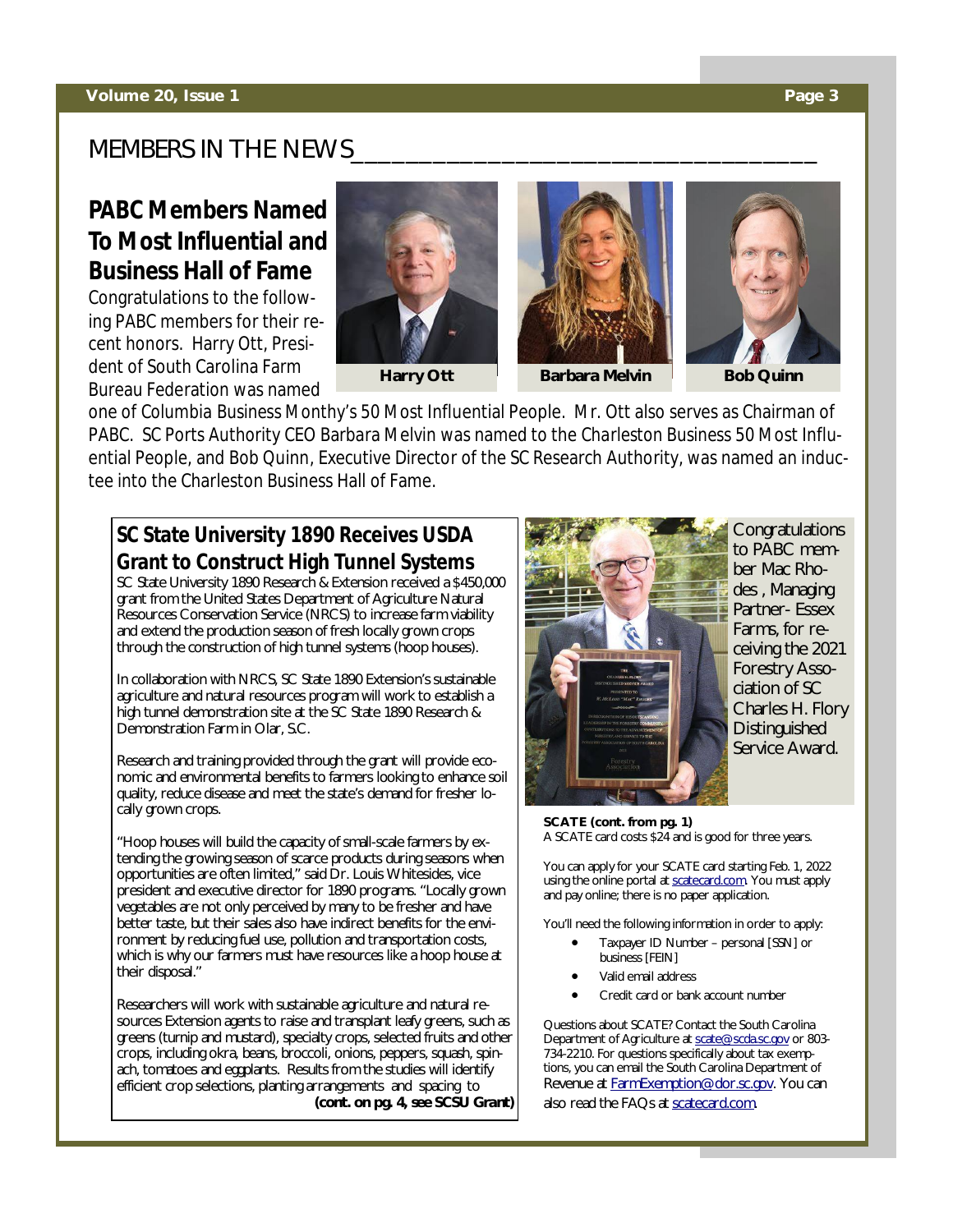# MEMBERS IN THE NEWS

# **PABC Members Named To Most Influential and Business Hall of Fame**

Congratulations to the following PABC members for their recent honors. Harry Ott, President of South Carolina Farm Bureau Federation was named







one of *Columbia Business Monthy's* 50 Most Influential People. Mr. Ott also serves as Chairman of PABC. SC Ports Authority CEO Barbara Melvin was named to the *Charleston Business* 50 Most Influential People, and Bob Quinn, Executive Director of the SC Research Authority, was named an inductee into the Charleston Business Hall of Fame.

# **SC State University 1890 Receives USDA Grant to Construct High Tunnel Systems**

SC State University 1890 Research & Extension received a \$450,000 grant from the United States Department of Agriculture Natural Resources Conservation Service (NRCS) to increase farm viability and extend the production season of fresh locally grown crops through the construction of high tunnel systems (hoop houses).

In collaboration with NRCS, SC State 1890 Extension's sustainable agriculture and natural resources program will work to establish a high tunnel demonstration site at the SC State 1890 Research & Demonstration Farm in Olar, S.C.

Research and training provided through the grant will provide economic and environmental benefits to farmers looking to enhance soil quality, reduce disease and meet the state's demand for fresher locally grown crops.

"Hoop houses will build the capacity of small-scale farmers by extending the growing season of scarce products during seasons when opportunities are often limited," said Dr. Louis Whitesides, vice president and executive director for 1890 programs. "Locally grown vegetables are not only perceived by many to be fresher and have better taste, but their sales also have indirect benefits for the environment by reducing fuel use, pollution and transportation costs, which is why our farmers must have resources like a hoop house at their disposal."

Researchers will work with sustainable agriculture and natural resources Extension agents to raise and transplant leafy greens, such as greens (turnip and mustard), specialty crops, selected fruits and other crops, including okra, beans, broccoli, onions, peppers, squash, spinach, tomatoes and eggplants. Results from the studies will identify efficient crop selections, planting arrangements and spacing to *(cont. on pg. 4, see SCSU Grant)*



Congratulations to PABC member Mac Rhodes , Managing Partner- Essex Farms, for receiving the 2021 Forestry Association of SC Charles H. Flory **Distinguished** Service Award.

**SCATE (cont. from pg. 1)** A SCATE card costs \$24 and is good for three years.

You can apply for your SCATE card starting Feb. 1, 2022 using the online portal at scatecard.com. You must apply and pay online; there is no paper application.

You'll need the following information in order to apply:

- Taxpayer ID Number personal [SSN] or business [FEIN]
- Valid email address
- Credit card or bank account number

Questions about SCATE? Contact the South Carolina Department of Agriculture at [scate@scda.sc.gov](mailto:scate@scda.sc.gov) or 803- 734-2210. For questions specifically about tax exemptions, you can email the South Carolina Department of Revenue at [FarmExemption@dor.sc.gov.](mailto:FarmExemption@dor.sc.gov.) You can also read the FAQs at scatecard.com.